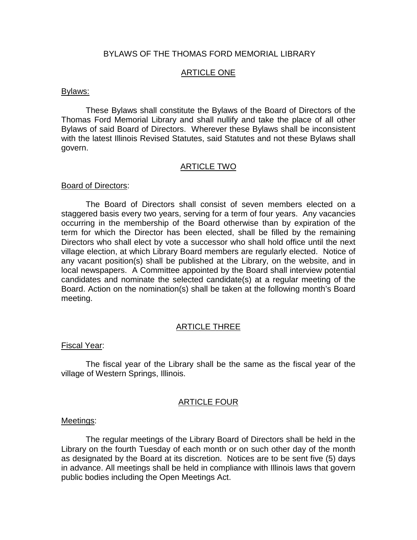## BYLAWS OF THE THOMAS FORD MEMORIAL LIBRARY

# ARTICLE ONE

#### Bylaws:

These Bylaws shall constitute the Bylaws of the Board of Directors of the Thomas Ford Memorial Library and shall nullify and take the place of all other Bylaws of said Board of Directors. Wherever these Bylaws shall be inconsistent with the latest Illinois Revised Statutes, said Statutes and not these Bylaws shall govern.

#### ARTICLE TWO

#### Board of Directors:

The Board of Directors shall consist of seven members elected on a staggered basis every two years, serving for a term of four years. Any vacancies occurring in the membership of the Board otherwise than by expiration of the term for which the Director has been elected, shall be filled by the remaining Directors who shall elect by vote a successor who shall hold office until the next village election, at which Library Board members are regularly elected. Notice of any vacant position(s) shall be published at the Library, on the website, and in local newspapers. A Committee appointed by the Board shall interview potential candidates and nominate the selected candidate(s) at a regular meeting of the Board. Action on the nomination(s) shall be taken at the following month's Board meeting.

## ARTICLE THREE

#### Fiscal Year:

The fiscal year of the Library shall be the same as the fiscal year of the village of Western Springs, Illinois.

## ARTICLE FOUR

#### Meetings:

The regular meetings of the Library Board of Directors shall be held in the Library on the fourth Tuesday of each month or on such other day of the month as designated by the Board at its discretion. Notices are to be sent five (5) days in advance. All meetings shall be held in compliance with Illinois laws that govern public bodies including the Open Meetings Act.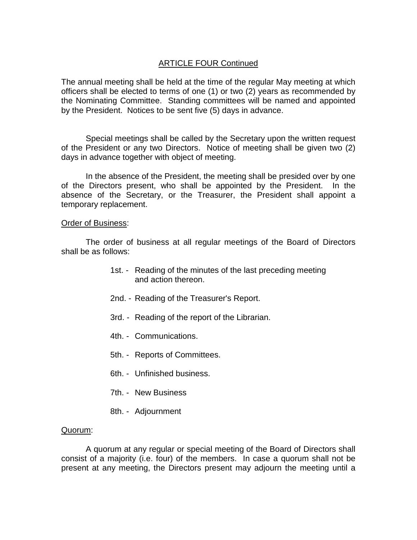# ARTICLE FOUR Continued

The annual meeting shall be held at the time of the regular May meeting at which officers shall be elected to terms of one (1) or two (2) years as recommended by the Nominating Committee. Standing committees will be named and appointed by the President. Notices to be sent five (5) days in advance.

Special meetings shall be called by the Secretary upon the written request of the President or any two Directors. Notice of meeting shall be given two (2) days in advance together with object of meeting.

In the absence of the President, the meeting shall be presided over by one of the Directors present, who shall be appointed by the President. In the absence of the Secretary, or the Treasurer, the President shall appoint a temporary replacement.

#### Order of Business:

The order of business at all regular meetings of the Board of Directors shall be as follows:

- 1st. Reading of the minutes of the last preceding meeting and action thereon.
- 2nd. Reading of the Treasurer's Report.
- 3rd. Reading of the report of the Librarian.
- 4th. Communications.
- 5th. Reports of Committees.
- 6th. Unfinished business.
- 7th. New Business
- 8th. Adjournment

## Quorum:

A quorum at any regular or special meeting of the Board of Directors shall consist of a majority (i.e. four) of the members. In case a quorum shall not be present at any meeting, the Directors present may adjourn the meeting until a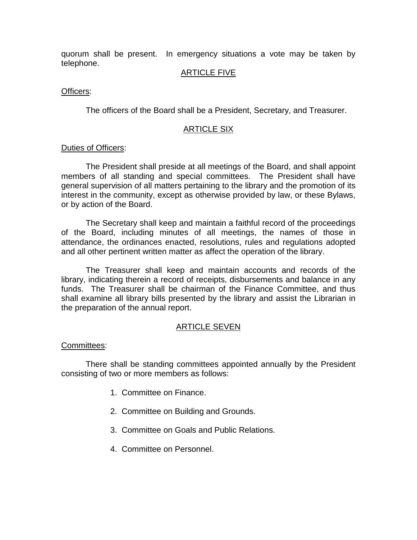quorum shall be present. In emergency situations a vote may be taken by telephone.

# ARTICLE FIVE

## Officers:

The officers of the Board shall be a President, Secretary, and Treasurer.

# ARTICLE SIX

## Duties of Officers:

The President shall preside at all meetings of the Board, and shall appoint members of all standing and special committees. The President shall have general supervision of all matters pertaining to the library and the promotion of its interest in the community, except as otherwise provided by law, or these Bylaws, or by action of the Board.

The Secretary shall keep and maintain a faithful record of the proceedings of the Board, including minutes of all meetings, the names of those in attendance, the ordinances enacted, resolutions, rules and regulations adopted and all other pertinent written matter as affect the operation of the library.

The Treasurer shall keep and maintain accounts and records of the library, indicating therein a record of receipts, disbursements and balance in any funds. The Treasurer shall be chairman of the Finance Committee, and thus shall examine all library bills presented by the library and assist the Librarian in the preparation of the annual report.

## ARTICLE SEVEN

## Committees:

There shall be standing committees appointed annually by the President consisting of two or more members as follows:

- 1. Committee on Finance.
- 2. Committee on Building and Grounds.
- 3. Committee on Goals and Public Relations.
- 4. Committee on Personnel.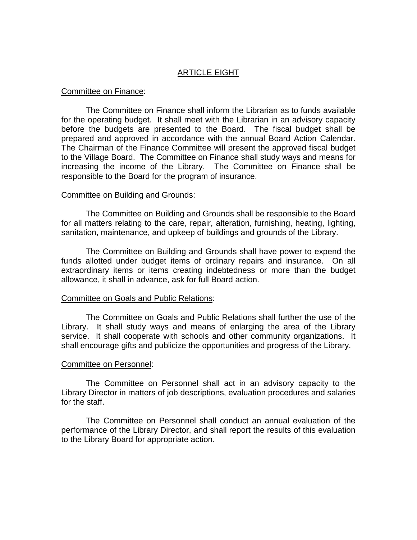# ARTICLE EIGHT

#### Committee on Finance:

The Committee on Finance shall inform the Librarian as to funds available for the operating budget. It shall meet with the Librarian in an advisory capacity before the budgets are presented to the Board. The fiscal budget shall be prepared and approved in accordance with the annual Board Action Calendar. The Chairman of the Finance Committee will present the approved fiscal budget to the Village Board. The Committee on Finance shall study ways and means for increasing the income of the Library. The Committee on Finance shall be responsible to the Board for the program of insurance.

#### Committee on Building and Grounds:

The Committee on Building and Grounds shall be responsible to the Board for all matters relating to the care, repair, alteration, furnishing, heating, lighting, sanitation, maintenance, and upkeep of buildings and grounds of the Library.

The Committee on Building and Grounds shall have power to expend the funds allotted under budget items of ordinary repairs and insurance. On all extraordinary items or items creating indebtedness or more than the budget allowance, it shall in advance, ask for full Board action.

## Committee on Goals and Public Relations:

The Committee on Goals and Public Relations shall further the use of the Library. It shall study ways and means of enlarging the area of the Library service. It shall cooperate with schools and other community organizations. It shall encourage gifts and publicize the opportunities and progress of the Library.

## Committee on Personnel:

The Committee on Personnel shall act in an advisory capacity to the Library Director in matters of job descriptions, evaluation procedures and salaries for the staff.

The Committee on Personnel shall conduct an annual evaluation of the performance of the Library Director, and shall report the results of this evaluation to the Library Board for appropriate action.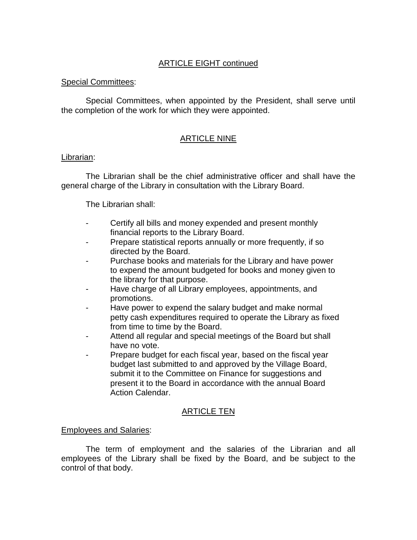# ARTICLE EIGHT continued

## Special Committees:

Special Committees, when appointed by the President, shall serve until the completion of the work for which they were appointed.

# ARTICLE NINE

## Librarian:

The Librarian shall be the chief administrative officer and shall have the general charge of the Library in consultation with the Library Board.

# The Librarian shall:

- Certify all bills and money expended and present monthly financial reports to the Library Board.
- Prepare statistical reports annually or more frequently, if so directed by the Board.
- Purchase books and materials for the Library and have power to expend the amount budgeted for books and money given to the library for that purpose.
- Have charge of all Library employees, appointments, and promotions.
- Have power to expend the salary budget and make normal petty cash expenditures required to operate the Library as fixed from time to time by the Board.
- Attend all regular and special meetings of the Board but shall have no vote.
- Prepare budget for each fiscal year, based on the fiscal year budget last submitted to and approved by the Village Board, submit it to the Committee on Finance for suggestions and present it to the Board in accordance with the annual Board Action Calendar.

# ARTICLE TEN

# Employees and Salaries:

The term of employment and the salaries of the Librarian and all employees of the Library shall be fixed by the Board, and be subject to the control of that body.